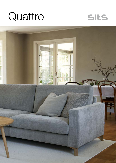



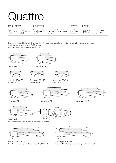# Quattro



Drawing show combinations with armrest 400. Combinantons with other armrest are properly longer or shorter in width. Cushions can be in fix cover in 70/90 version.

Drawings shown height with leg no. 53 H-10.





3 seater 91

armchair 71



armchair 91

42



footstool 70x53 version 91x71

footstool 90x53 version 91x71

90  $\rightarrow$   $\rightarrow$   $\rightarrow$   $\rightarrow$  53



footstool 90x90 version 91x71



2 seater 71

sofa bed





3 seater XL 71





standard comfort - only version 70 for fabric and leather



set 1 right / or left 2 seater 71 left / or right + chaiselongue 71 right / or left



set 2 right / or left 3 seater 91 left / or right + chaiselongue 91 right / or left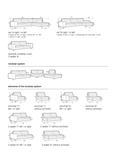



set 16 right / or left 3 seater 91 left / or right + chaiselongue 91 long right / or left

set 14 right / or left 3 seater 91 left / or right + corner 90° no. 320 + bench 71 right / or left



example of leather cover 3 seater 91

### modular system



## elements of the modular system





armchair 71 without armrests

armchair 71 left / or right



2 seater 71 left / or right



3 seater 91 left / or right

2 seater 71 without armrests 



3 seater 91 without armrests



armchair 91 left / or right



armchair 91 without armrests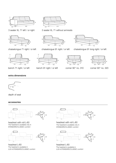

3 seater XL 71 left / or right



chaiselongue 71 right / or left



bench 71 right / or left







chaiselongue 91 right / or left chaiselongue 91 long right / or left



bench 91 right / or left



corner 90° no. 310



42

 $\begin{array}{c|c}\n\hline\n182 & 110\n\end{array}$ 

corner 90° no. 320

# extra dimensions



depth of seat

# accessories



headrest with roll L-60 The headrest is available only in STANDARD/CLASSIC comfort



headrest L-60 The headrest is available in LUX & STANDARD/CLASSIC comfort



36

60

~60

headrest with roll L-80 The headrest is available only in STANDARD/CLASSIC comfort



56 ~60 80 ~21

56

80

~58

 $\alpha$ <sup>16</sup>

headrest L-80 The headrest is available in LUX & STANDARD/CLASSIC comfort